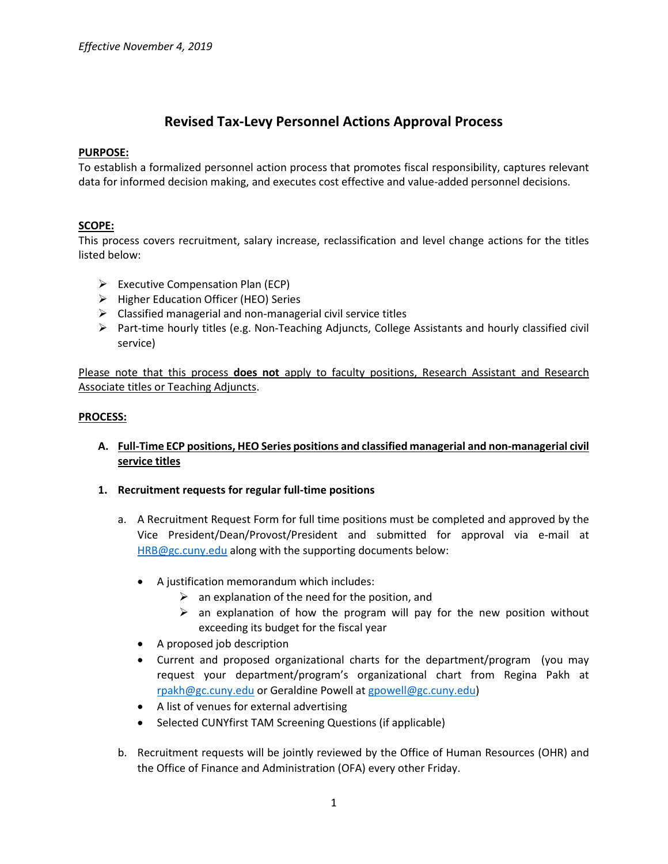# **Revised Tax-Levy Personnel Actions Approval Process**

### **PURPOSE:**

To establish a formalized personnel action process that promotes fiscal responsibility, captures relevant data for informed decision making, and executes cost effective and value-added personnel decisions.

### **SCOPE:**

This process covers recruitment, salary increase, reclassification and level change actions for the titles listed below:

- $\triangleright$  Executive Compensation Plan (ECP)
- $\triangleright$  Higher Education Officer (HEO) Series
- $\triangleright$  Classified managerial and non-managerial civil service titles
- $\triangleright$  Part-time hourly titles (e.g. Non-Teaching Adjuncts, College Assistants and hourly classified civil service)

Please note that this process **does not** apply to faculty positions, Research Assistant and Research Associate titles or Teaching Adjuncts.

#### **PROCESS:**

**A. Full-Time ECP positions, HEO Series positions and classified managerial and non-managerial civil service titles**

#### **1. Recruitment requests for regular full-time positions**

- a. A Recruitment Request Form for full time positions must be completed and approved by the Vice President/Dean/Provost/President and submitted for approval via e-mail at [HRB@gc.cuny.edu](mailto:HRB@gc.cuny.edu) along with the supporting documents below:
	- A justification memorandum which includes:
		- $\triangleright$  an explanation of the need for the position, and
		- $\triangleright$  an explanation of how the program will pay for the new position without exceeding its budget for the fiscal year
	- A proposed job description
	- Current and proposed organizational charts for the department/program (you may request your department/program's organizational chart from Regina Pakh at [rpakh@gc.cuny.edu](mailto:rpakh@gc.cuny.edu) or Geraldine Powell a[t gpowell@gc.cuny.edu\)](mailto:gpowell@gc.cuny.edu)
	- A list of venues for external advertising
	- Selected CUNYfirst TAM Screening Questions (if applicable)
- b. Recruitment requests will be jointly reviewed by the Office of Human Resources (OHR) and the Office of Finance and Administration (OFA) every other Friday.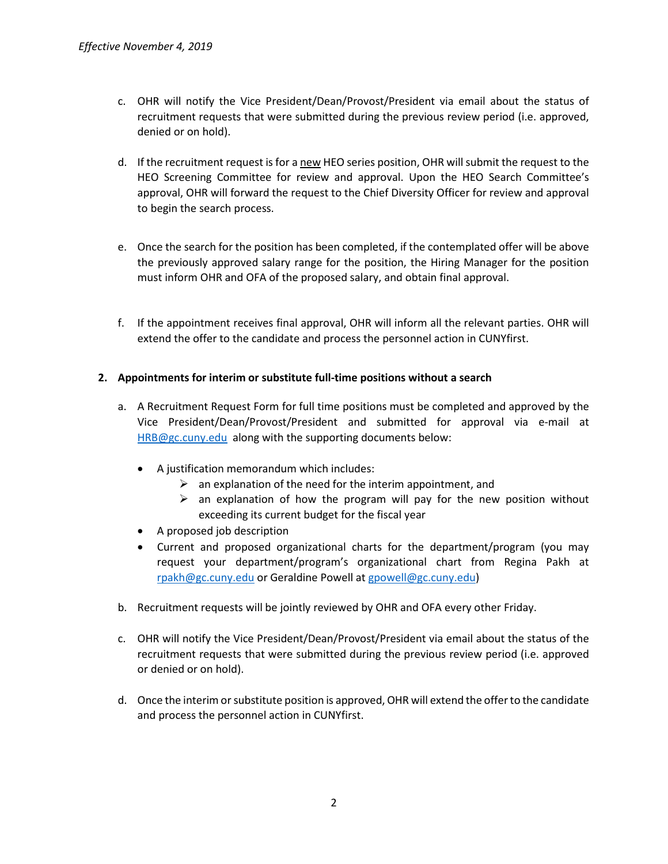- c. OHR will notify the Vice President/Dean/Provost/President via email about the status of recruitment requests that were submitted during the previous review period (i.e. approved, denied or on hold).
- d. If the recruitment request is for a new HEO series position, OHR will submit the request to the HEO Screening Committee for review and approval. Upon the HEO Search Committee's approval, OHR will forward the request to the Chief Diversity Officer for review and approval to begin the search process.
- e. Once the search for the position has been completed, if the contemplated offer will be above the previously approved salary range for the position, the Hiring Manager for the position must inform OHR and OFA of the proposed salary, and obtain final approval.
- f. If the appointment receives final approval, OHR will inform all the relevant parties. OHR will extend the offer to the candidate and process the personnel action in CUNYfirst.

## **2. Appointments for interim or substitute full-time positions without a search**

- a. A Recruitment Request Form for full time positions must be completed and approved by the Vice President/Dean/Provost/President and submitted for approval via e-mail at [HRB@gc.cuny.edu](mailto:HRB@gc.cuny.edu) along with the supporting documents below:
	- A justification memorandum which includes:
		- $\triangleright$  an explanation of the need for the interim appointment, and
		- $\triangleright$  an explanation of how the program will pay for the new position without exceeding its current budget for the fiscal year
	- A proposed job description
	- Current and proposed organizational charts for the department/program (you may request your department/program's organizational chart from Regina Pakh at [rpakh@gc.cuny.edu](mailto:rpakh@gc.cuny.edu) or Geraldine Powell a[t gpowell@gc.cuny.edu\)](mailto:gpowell@gc.cuny.edu)
- b. Recruitment requests will be jointly reviewed by OHR and OFA every other Friday.
- c. OHR will notify the Vice President/Dean/Provost/President via email about the status of the recruitment requests that were submitted during the previous review period (i.e. approved or denied or on hold).
- d. Once the interim or substitute position is approved, OHR will extend the offer to the candidate and process the personnel action in CUNYfirst.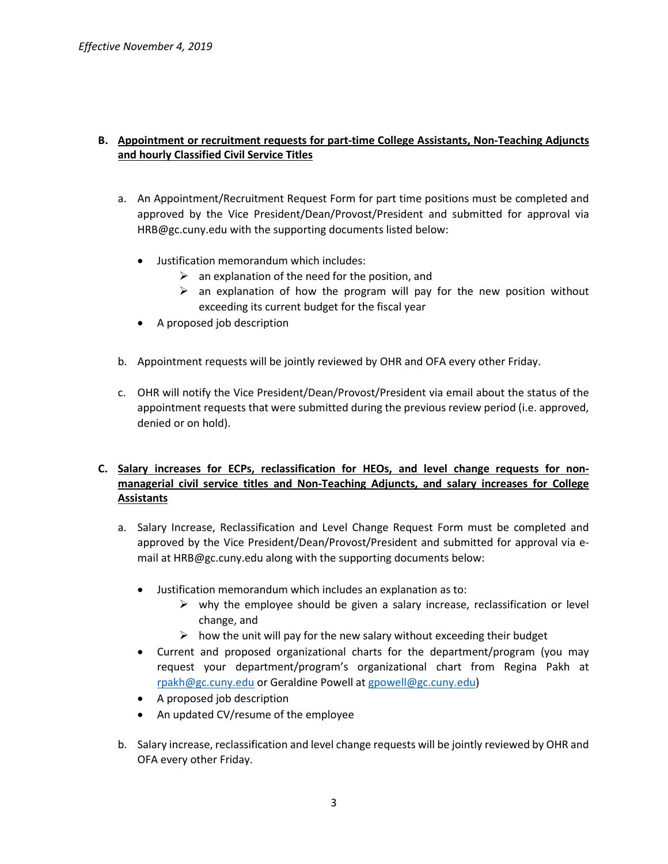### **B. Appointment or recruitment requests for part-time College Assistants, Non-Teaching Adjuncts and hourly Classified Civil Service Titles**

- a. An Appointment/Recruitment Request Form for part time positions must be completed and approved by the Vice President/Dean/Provost/President and submitted for approval via [HRB@gc.cuny.edu](mailto:HRB@gc.cuny.edu) with the supporting documents listed below:
	- Justification memorandum which includes:
		- $\triangleright$  an explanation of the need for the position, and
		- $\triangleright$  an explanation of how the program will pay for the new position without exceeding its current budget for the fiscal year
	- A proposed job description
- b. Appointment requests will be jointly reviewed by OHR and OFA every other Friday.
- c. OHR will notify the Vice President/Dean/Provost/President via email about the status of the appointment requests that were submitted during the previous review period (i.e. approved, denied or on hold).

# **C. Salary increases for ECPs, reclassification for HEOs, and level change requests for nonmanagerial civil service titles and Non-Teaching Adjuncts, and salary increases for College Assistants**

- a. Salary Increase, Reclassification and Level Change Request Form must be completed and approved by the Vice President/Dean/Provost/President and submitted for approval via email at [HRB@gc.cuny.edu](mailto:HRB@gc.cuny.edu) along with the supporting documents below:
	- Justification memorandum which includes an explanation as to:
		- $\triangleright$  why the employee should be given a salary increase, reclassification or level change, and
		- $\triangleright$  how the unit will pay for the new salary without exceeding their budget
	- Current and proposed organizational charts for the department/program (you may request your department/program's organizational chart from Regina Pakh at [rpakh@gc.cuny.edu](mailto:rpakh@gc.cuny.edu) or Geraldine Powell a[t gpowell@gc.cuny.edu\)](mailto:gpowell@gc.cuny.edu)
	- A proposed job description
	- An updated CV/resume of the employee
- b. Salary increase, reclassification and level change requests will be jointly reviewed by OHR and OFA every other Friday.